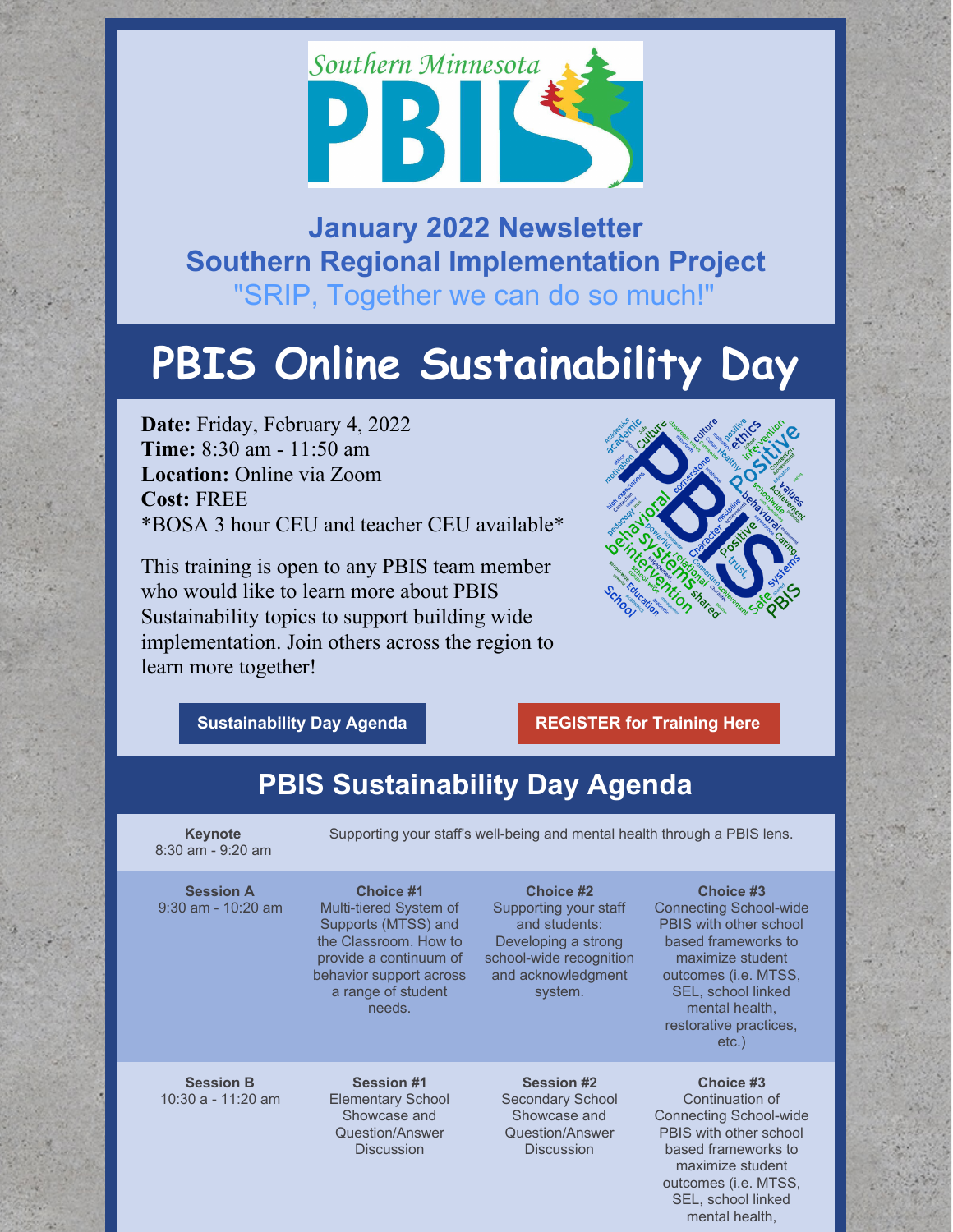

## **January 2022 Newsletter Southern Regional Implementation Project** "SRIP, Together we can do so much!"

# **PBIS Online Sustainability Day**

**Date:** Friday, February 4, 2022 **Time:** 8:30 am - 11:50 am **Location:** Online via Zoom **Cost:** FREE \*BOSA 3 hour CEU and teacher CEU available\*

This training is open to any PBIS team member who would like to learn more about PBIS Sustainability topics to support building wide implementation. Join others across the region to learn more together!



**[Sustainability](https://docs.google.com/document/d/1nojTx3VtntgYTzXtXNIi8wwIHKFJLpi7kPUNmTaFUCk/edit?usp=sharing) Day Agenda [REGISTER](https://socrates.zoom.us/meeting/register/tJUpd-mprjIoHN1L6cefJSryZJInzvu890dg) for Training Here**

## **PBIS Sustainability Day Agenda**

**Keynote** 8:30 am - 9:20 am Supporting your staff's well-being and mental health through a PBIS lens.

#### **Session A** 9:30 am - 10:20 am

**Choice #1** Multi-tiered System of Supports (MTSS) and the Classroom. How to provide a continuum of behavior support across a range of student needs.

#### **Choice #2** Supporting your staff and students: Developing a strong school-wide recognition and acknowledgment

system.

#### **Choice #3**

Connecting School-wide PBIS with other school based frameworks to maximize student outcomes (i.e. MTSS, SEL, school linked mental health, restorative practices, etc.)

**Choice #3** Continuation of Connecting School-wide PBIS with other school based frameworks to maximize student outcomes (i.e. MTSS, SEL, school linked mental health,

**Session B** 10:30 a - 11:20 am

**Session #1** Elementary School Showcase and Question/Answer **Discussion** 

**Session #2** Secondary School Showcase and Question/Answer **Discussion**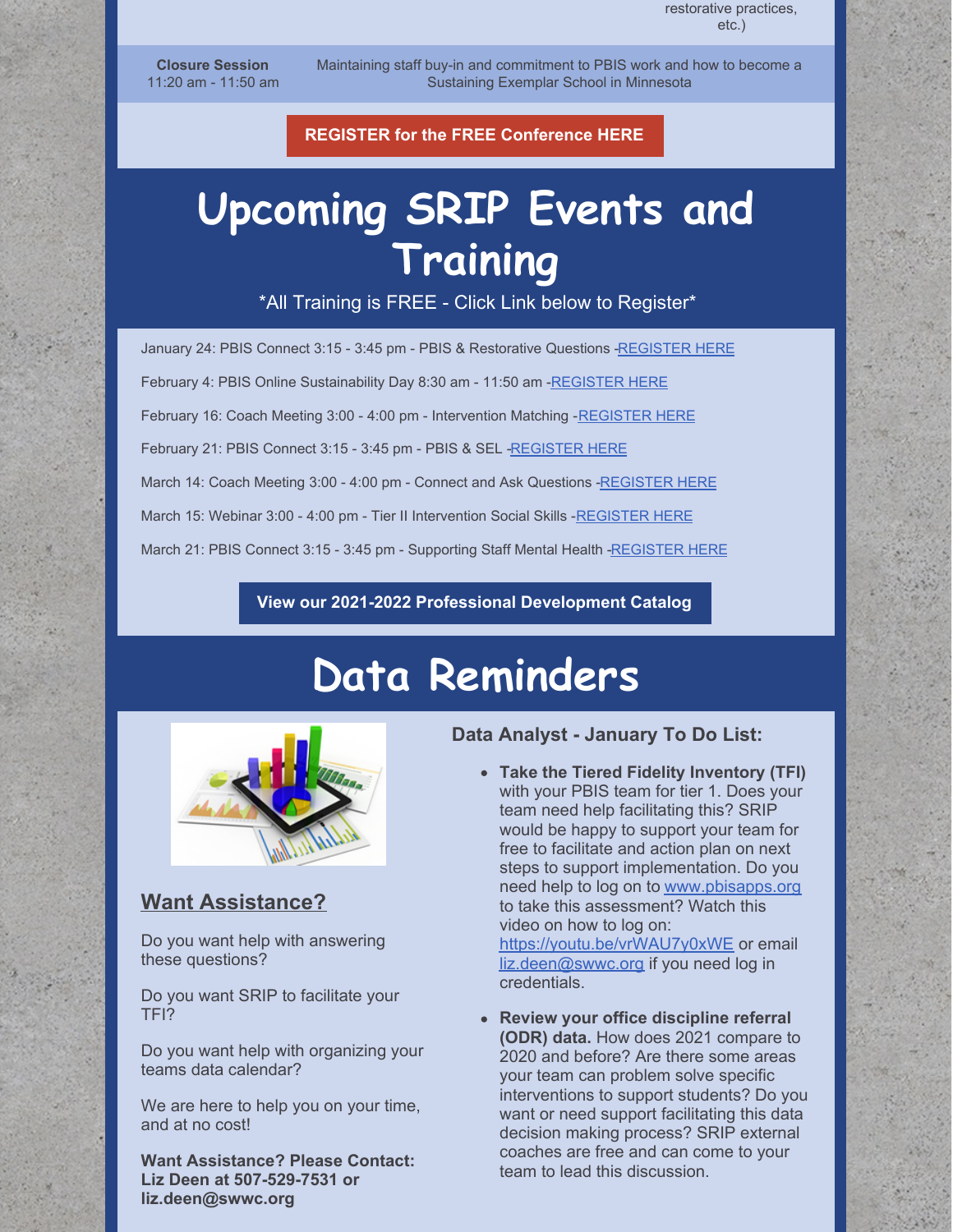**Closure Session** 11:20 am - 11:50 am Maintaining staff buy-in and commitment to PBIS work and how to become a Sustaining Exemplar School in Minnesota

**REGISTER for the FREE [Conference](https://socrates.zoom.us/meeting/register/tJUpd-mprjIoHN1L6cefJSryZJInzvu890dg) HERE**

# **Upcoming SRIP Events and Training**

\*All Training is FREE - Click Link below to Register\*

January 24: PBIS Connect 3:15 - 3:45 pm - PBIS & Restorative Questions [-REGISTER](https://socrates.zoom.us/meeting/register/tJYtf-iqqjgtGt1gfme1JlgPf44VYlPZl8q2) HERE February 4: PBIS Online Sustainability Day 8:30 am - 11:50 am [-REGISTER](https://socrates.zoom.us/meeting/register/tJUpd-mprjIoHN1L6cefJSryZJInzvu890dg) HERE February 16: Coach Meeting 3:00 - 4:00 pm - Intervention Matching - [REGISTER](https://socrates.zoom.us/meeting/register/tJMqc-qqqjkvHdOiL2FgaJRJzeeJL2s5KjLq) HERE February 21: PBIS Connect 3:15 - 3:45 pm - PBIS & SEL [-REGISTER](https://socrates.zoom.us/meeting/register/tJUuc-6hrDIoE92Nlftb2OuJ9yWEUaPp6Hhj) HERE March 14: Coach Meeting 3:00 - 4:00 pm - Connect and Ask Questions [-REGISTER](https://socrates.zoom.us/meeting/register/tJYqduuorDstE9bHMG2KbBadK7oWThxOR9zL) HERE March 15: Webinar 3:00 - 4:00 pm - Tier II Intervention Social Skills [-REGISTER](https://socrates.zoom.us/meeting/register/tJEuf-6qqzMuGte_SXQD6Bq1QT7v8KuFciTs) HERE March 21: PBIS Connect 3:15 - 3:45 pm - Supporting Staff Mental Health [-REGISTER](https://socrates.zoom.us/meeting/register/tJcpcuyprjIqG9b26-KpkZqHhsOdA3kBA4xS) HERE

#### **View our 2021-2022 Professional [Development](https://drive.google.com/file/d/1wqxM0Sfi7me_KC8agcFvTbBoq1ivgtyd/view?usp=sharing) Catalog**

## **Data Reminders**



### **Want Assistance?**

Do you want help with answering these questions?

Do you want SRIP to facilitate your TFI?

Do you want help with organizing your teams data calendar?

We are here to help you on your time, and at no cost!

**Want Assistance? Please Contact: Liz Deen at 507-529-7531 or liz.deen@swwc.org**

### **Data Analyst - January To Do List:**

- **Take the Tiered Fidelity Inventory (TFI)** with your PBIS team for tier 1. Does your team need help facilitating this? SRIP would be happy to support your team for free to facilitate and action plan on next steps to support implementation. Do you need help to log on to [www.pbisapps.org](http://www.pbisapps.org) to take this assessment? Watch this video on how to log on: <https://youtu.be/vrWAU7y0xWE> or email [liz.deen@swwc.org](mailto:liz.deen@swwc.org) if you need log in credentials.
- **Review your office discipline referral (ODR) data.** How does 2021 compare to 2020 and before? Are there some areas your team can problem solve specific interventions to support students? Do you want or need support facilitating this data decision making process? SRIP external coaches are free and can come to your team to lead this discussion.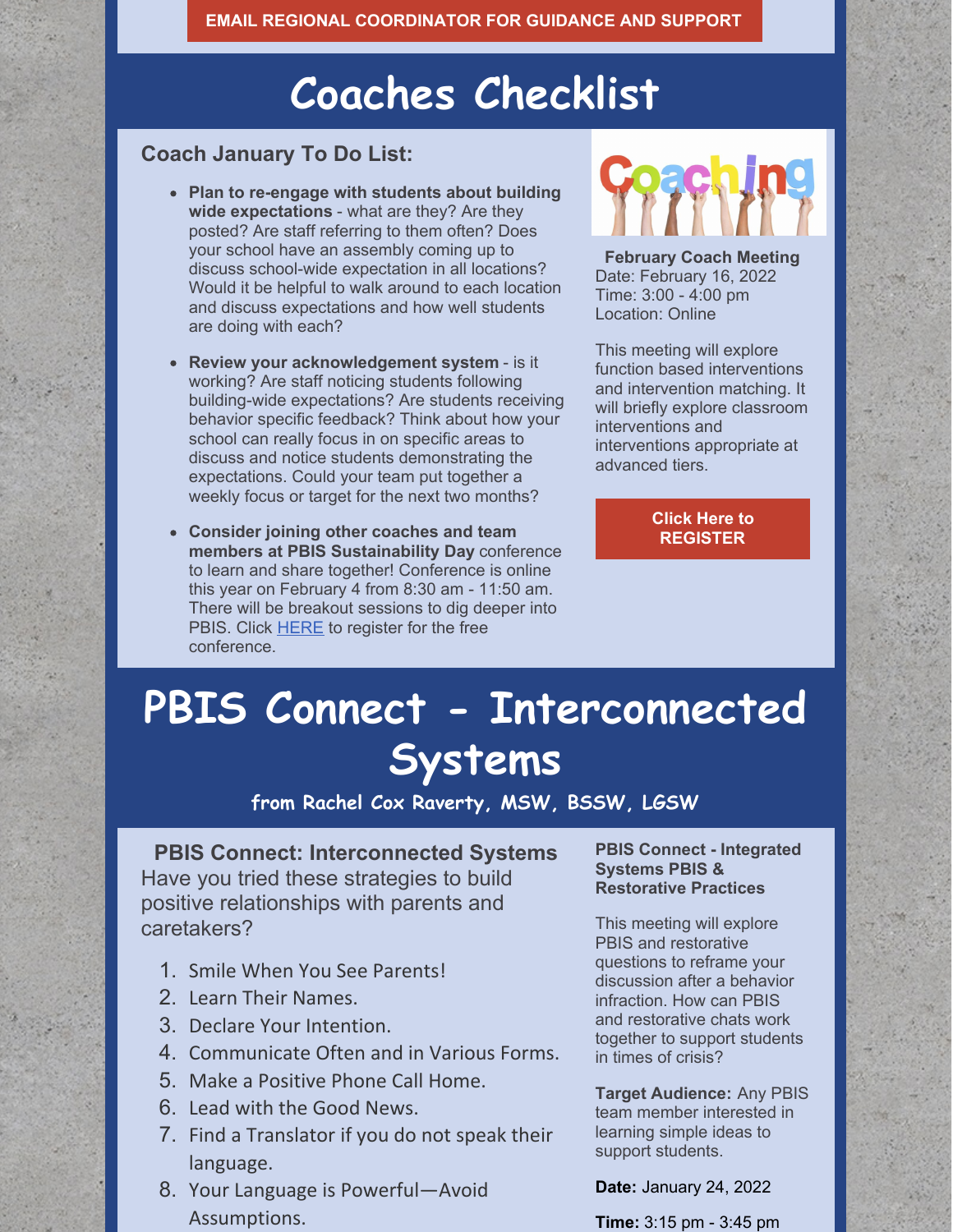## **Coaches Checklist**

### **Coach January To Do List:**

- **Plan to re-engage with students about building wide expectations** - what are they? Are they posted? Are staff referring to them often? Does your school have an assembly coming up to discuss school-wide expectation in all locations? Would it be helpful to walk around to each location and discuss expectations and how well students are doing with each?
- **Review your acknowledgement system** is it working? Are staff noticing students following building-wide expectations? Are students receiving behavior specific feedback? Think about how your school can really focus in on specific areas to discuss and notice students demonstrating the expectations. Could your team put together a weekly focus or target for the next two months?
- **Consider joining other coaches and team members at PBIS Sustainability Day** conference to learn and share together! Conference is online this year on February 4 from 8:30 am - 11:50 am. There will be breakout sessions to dig deeper into PBIS. Click [HERE](https://socrates.zoom.us/meeting/register/tJUpd-mprjIoHN1L6cefJSryZJInzvu890dg) to register for the free conference.



**February Coach Meeting** Date: February 16, 2022 Time: 3:00 - 4:00 pm Location: Online

This meeting will explore function based interventions and intervention matching. It will briefly explore classroom interventions and interventions appropriate at advanced tiers.

> **Click Here to [REGISTER](https://socrates.zoom.us/meeting/register/tJMqc-qqqjkvHdOiL2FgaJRJzeeJL2s5KjLq)**

# **PBIS Connect - Interconnected Systems**

**from Rachel Cox Raverty, MSW, BSSW, LGSW**

### **PBIS Connect: Interconnected Systems**

Have you tried these strategies to build positive relationships with parents and caretakers?

- 1. Smile When You See Parents!
- 2. Learn Their Names.
- 3. Declare Your Intention.
- 4. Communicate Often and in Various Forms.
- 5. Make a Positive Phone Call Home.
- 6. Lead with the Good News.
- 7. Find a Translator if you do not speak their language.
- 8. Your Language is Powerful—Avoid Assumptions.

#### **PBIS Connect - Integrated Systems PBIS & Restorative Practices**

This meeting will explore PBIS and restorative questions to reframe your discussion after a behavior infraction. How can PBIS and restorative chats work together to support students in times of crisis?

**Target Audience:** Any PBIS team member interested in learning simple ideas to support students.

**Date:** January 24, 2022

**Time:** 3:15 pm - 3:45 pm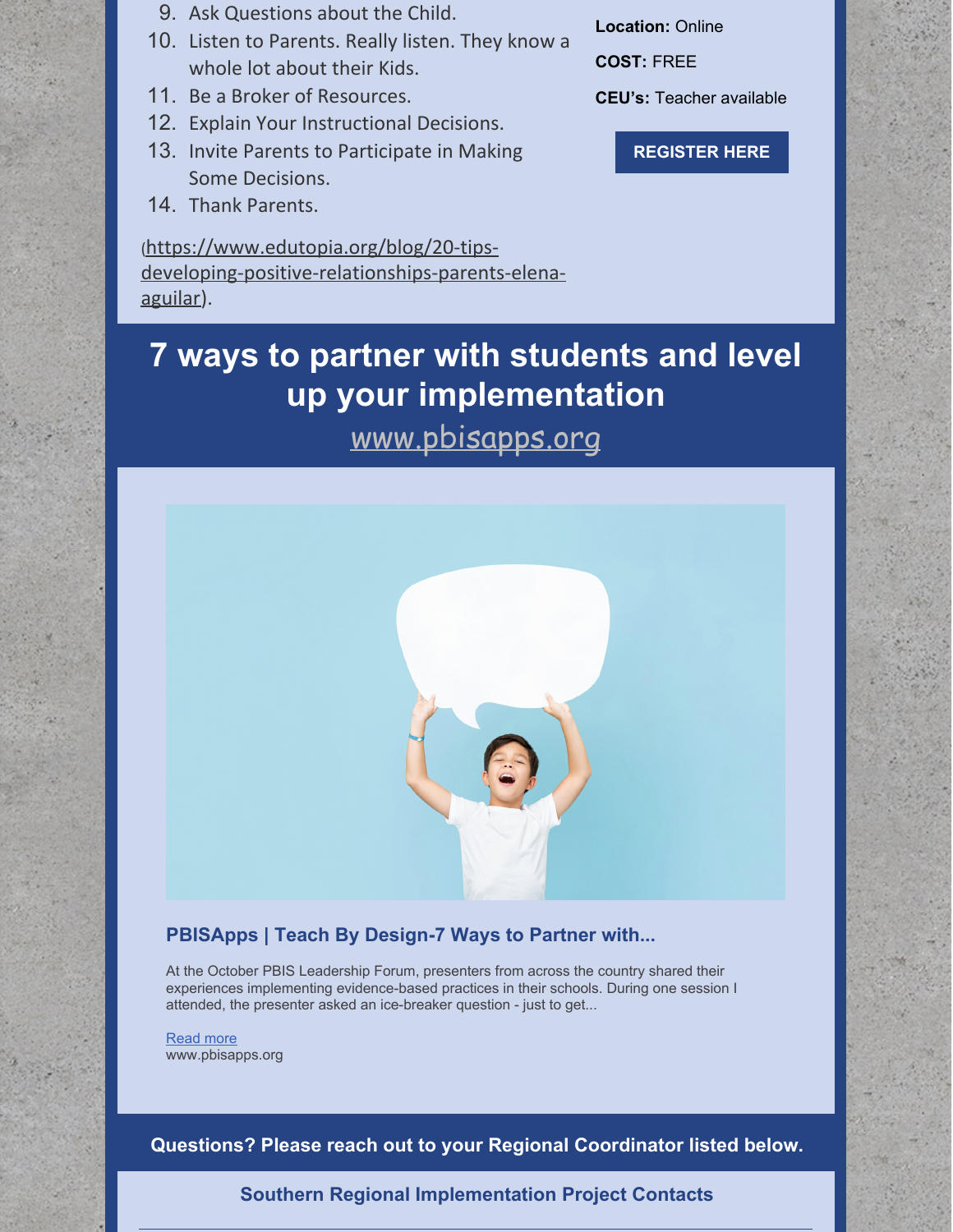- 9. Ask Questions about the Child.
- 10. Listen to Parents. Really listen. They know a whole lot about their Kids.
- 11. Be a Broker of Resources.
- 12. Explain Your Instructional Decisions.
- 13. Invite Parents to Participate in Making Some Decisions.
- 14. Thank Parents.

(https://www.edutopia.org/blog/20-tips[developing-positive-relationships-parents-elena](https://www.edutopia.org/blog/20-tips-developing-positive-relationships-parents-elena-aguilar)aguilar).

**Location:** Online

**COST:** FREE

**CEU's:** Teacher available

**[REGISTER](https://socrates.zoom.us/meeting/register/tJYtf-iqqjgtGt1gfme1JlgPf44VYlPZl8q2) HERE**

## **7 ways to partner with students and level up your implementation**

[www.pbisapps.org](http://www.pbisapps.org)



### **PBISApps | Teach By Design-7 Ways to Partner with...**

At the October PBIS Leadership Forum, presenters from across the country shared their experiences implementing evidence-based practices in their schools. During one session I attended, the presenter asked an ice-breaker question - just to get...

[Read](https://www.pbisapps.org/articles/7-ways-to-partner-with-students-and-level-up-your-implementation) more www.pbisapps.org

**Questions? Please reach out to your Regional Coordinator listed below.**

**Southern Regional Implementation Project Contacts**